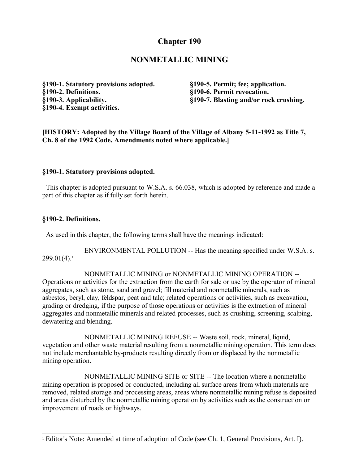# **Chapter 190**

# **NONMETALLIC MINING**

**§190-1. Statutory provisions adopted. §190-2. Definitions. §190-3. Applicability. §190-4. Exempt activities.**

**§190-5. Permit; fee; application. §190-6. Permit revocation. §190-7. Blasting and/or rock crushing.**

**[HISTORY: Adopted by the Village Board of the Village of Albany 5-11-1992 as Title 7, Ch. 8 of the 1992 Code. Amendments noted where applicable.]**

#### **§190-1. Statutory provisions adopted.**

 This chapter is adopted pursuant to W.S.A. s. 66.038, which is adopted by reference and made a part of this chapter as if fully set forth herein.

#### **§190-2. Definitions.**

As used in this chapter, the following terms shall have the meanings indicated:

ENVIRONMENTAL POLLUTION -- Has the meaning specified under W.S.A. s.  $299.01(4).$  $299.01(4).$  $299.01(4).$ <sup>1</sup>

NONMETALLIC MINING or NONMETALLIC MINING OPERATION -- Operations or activities for the extraction from the earth for sale or use by the operator of mineral aggregates, such as stone, sand and gravel; fill material and nonmetallic minerals, such as asbestos, beryl, clay, feldspar, peat and talc; related operations or activities, such as excavation, grading or dredging, if the purpose of those operations or activities is the extraction of mineral aggregates and nonmetallic minerals and related processes, such as crushing, screening, scalping, dewatering and blending.

NONMETALLIC MINING REFUSE -- Waste soil, rock, mineral, liquid, vegetation and other waste material resulting from a nonmetallic mining operation. This term does not include merchantable by-products resulting directly from or displaced by the nonmetallic mining operation.

NONMETALLIC MINING SITE or SITE -- The location where a nonmetallic mining operation is proposed or conducted, including all surface areas from which materials are removed, related storage and processing areas, areas where nonmetallic mining refuse is deposited and areas disturbed by the nonmetallic mining operation by activities such as the construction or improvement of roads or highways.

<span id="page-0-0"></span><sup>&</sup>lt;sup>1</sup> Editor's Note: Amended at time of adoption of Code (see Ch. 1, General Provisions, Art. I).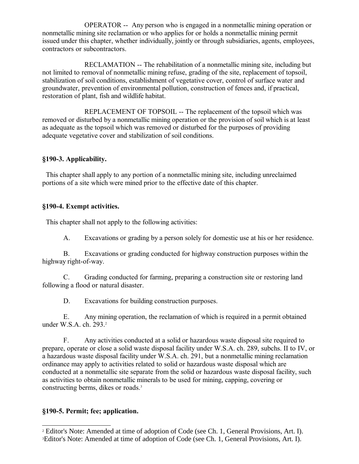OPERATOR -- Any person who is engaged in a nonmetallic mining operation or nonmetallic mining site reclamation or who applies for or holds a nonmetallic mining permit issued under this chapter, whether individually, jointly or through subsidiaries, agents, employees, contractors or subcontractors.

RECLAMATION -- The rehabilitation of a nonmetallic mining site, including but not limited to removal of nonmetallic mining refuse, grading of the site, replacement of topsoil, stabilization of soil conditions, establishment of vegetative cover, control of surface water and groundwater, prevention of environmental pollution, construction of fences and, if practical, restoration of plant, fish and wildlife habitat.

REPLACEMENT OF TOPSOIL -- The replacement of the topsoil which was removed or disturbed by a nonmetallic mining operation or the provision of soil which is at least as adequate as the topsoil which was removed or disturbed for the purposes of providing adequate vegetative cover and stabilization of soil conditions.

### **§190-3. Applicability.**

 This chapter shall apply to any portion of a nonmetallic mining site, including unreclaimed portions of a site which were mined prior to the effective date of this chapter.

### **§190-4. Exempt activities.**

This chapter shall not apply to the following activities:

A. Excavations or grading by a person solely for domestic use at his or her residence.

B. Excavations or grading conducted for highway construction purposes within the highway right-of-way.

C. Grading conducted for farming, preparing a construction site or restoring land following a flood or natural disaster.

D. Excavations for building construction purposes.

E. Any mining operation, the reclamation of which is required in a permit obtained under W.S.A. ch. [2](#page-1-0)93.<sup>2</sup>

F. Any activities conducted at a solid or hazardous waste disposal site required to prepare, operate or close a solid waste disposal facility under W.S.A. ch. 289, subchs. II to IV, or a hazardous waste disposal facility under W.S.A. ch. 291, but a nonmetallic mining reclamation ordinance may apply to activities related to solid or hazardous waste disposal which are conducted at a nonmetallic site separate from the solid or hazardous waste disposal facility, such as activities to obtain nonmetallic minerals to be used for mining, capping, covering or constructing berms, dikes or roads.[3](#page-1-1)

## **§190-5. Permit; fee; application.**

<span id="page-1-1"></span><span id="page-1-0"></span><sup>2</sup> Editor's Note: Amended at time of adoption of Code (see Ch. 1, General Provisions, Art. I). 3Editor's Note: Amended at time of adoption of Code (see Ch. 1, General Provisions, Art. I).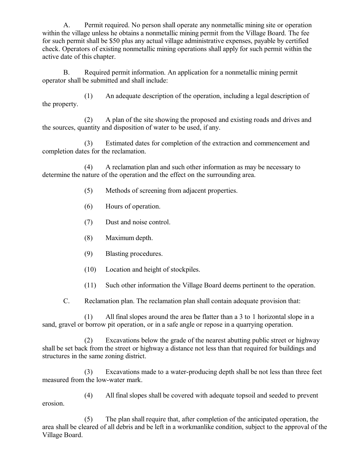A. Permit required. No person shall operate any nonmetallic mining site or operation within the village unless he obtains a nonmetallic mining permit from the Village Board. The fee for such permit shall be \$50 plus any actual village administrative expenses, payable by certified check. Operators of existing nonmetallic mining operations shall apply for such permit within the active date of this chapter.

B. Required permit information. An application for a nonmetallic mining permit operator shall be submitted and shall include:

(1) An adequate description of the operation, including a legal description of the property.

(2) A plan of the site showing the proposed and existing roads and drives and the sources, quantity and disposition of water to be used, if any.

(3) Estimated dates for completion of the extraction and commencement and completion dates for the reclamation.

(4) A reclamation plan and such other information as may be necessary to determine the nature of the operation and the effect on the surrounding area.

- (5) Methods of screening from adjacent properties.
- (6) Hours of operation.
- (7) Dust and noise control.
- (8) Maximum depth.
- (9) Blasting procedures.
- (10) Location and height of stockpiles.
- (11) Such other information the Village Board deems pertinent to the operation.

C. Reclamation plan. The reclamation plan shall contain adequate provision that:

(1) All final slopes around the area be flatter than a 3 to 1 horizontal slope in a sand, gravel or borrow pit operation, or in a safe angle or repose in a quarrying operation.

(2) Excavations below the grade of the nearest abutting public street or highway shall be set back from the street or highway a distance not less than that required for buildings and structures in the same zoning district.

(3) Excavations made to a water-producing depth shall be not less than three feet measured from the low-water mark.

(4) All final slopes shall be covered with adequate topsoil and seeded to prevent erosion.

(5) The plan shall require that, after completion of the anticipated operation, the area shall be cleared of all debris and be left in a workmanlike condition, subject to the approval of the Village Board.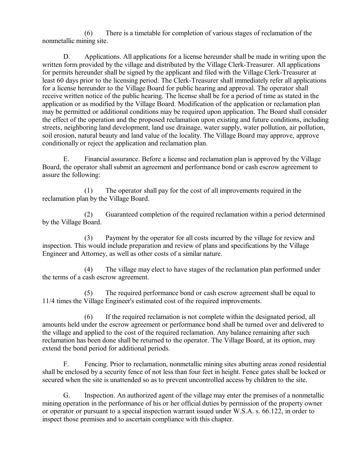(6) There is a timetable for completion of various stages of reclamation of the nonmetallic mining site.

D. Applications. All applications for a license hereunder shall be made in writing upon the written form provided by the village and distributed by the Village Clerk-Treasurer. All applications for permits hereunder shall be signed by the applicant and filed with the Village Clerk-Treasurer at least 60 days prior to the licensing period. The Clerk-Treasurer shall immediately refer all applications for a license hereunder to the Village Board for public hearing and approval. The operator shall receive written notice of the public hearing. The license shall be for a period of time as stated in the application or as modified by the Village Board. Modification of the application or reclamation plan may be permitted or additional conditions may be required upon application. The Board shall consider the effect of the operation and the proposed reclamation upon existing and future conditions, including streets, neighboring land development, land use drainage, water supply, water pollution, air pollution, soil erosion, natural beauty and land value of the locality. The Village Board may approve, approve conditionally or reject the application and reclamation plan.

E. Financial assurance. Before a license and reclamation plan is approved by the Village Board, the operator shall submit an agreement and performance bond or cash escrow agreement to assure the following:

(1) The operator shall pay for the cost of all improvements required in the reclamation plan by the Village Board.

(2) Guaranteed completion of the required reclamation within a period determined by the Village Board.

(3) Payment by the operator for all costs incurred by the village for review and inspection. This would include preparation and review of plans and specifications by the Village Engineer and Attorney, as well as other costs of a similar nature.

(4) The village may elect to have stages of the reclamation plan performed under the terms of a cash escrow agreement.

(5) The required performance bond or cash escrow agreement shall be equal to 11/4 times the Village Engineer's estimated cost of the required improvements.

(6) If the required reclamation is not complete within the designated period, all amounts held under the escrow agreement or performance bond shall be turned over and delivered to the village and applied to the cost of the required reclamation. Any balance remaining after such reclamation has been done shall be returned to the operator. The Village Board, at its option, may extend the bond period for additional periods.

F. Fencing. Prior to reclamation, nonmetallic mining sites abutting areas zoned residential shall be enclosed by a security fence of not less than four feet in height. Fence gates shall be locked or secured when the site is unattended so as to prevent uncontrolled access by children to the site.

G. Inspection. An authorized agent of the village may enter the premises of a nonmetallic mining operation in the performance of his or her official duties by permission of the property owner or operator or pursuant to a special inspection warrant issued under W.S.A. s. 66.122, in order to inspect those premises and to ascertain compliance with this chapter.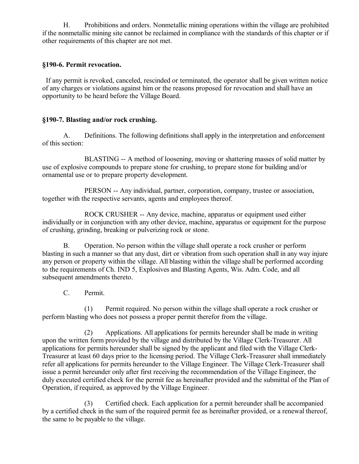H. Prohibitions and orders. Nonmetallic mining operations within the village are prohibited if the nonmetallic mining site cannot be reclaimed in compliance with the standards of this chapter or if other requirements of this chapter are not met.

## **§190-6. Permit revocation.**

 If any permit is revoked, canceled, rescinded or terminated, the operator shall be given written notice of any charges or violations against him or the reasons proposed for revocation and shall have an opportunity to be heard before the Village Board.

# **§190-7. Blasting and/or rock crushing.**

A. Definitions. The following definitions shall apply in the interpretation and enforcement of this section:

BLASTING -- A method of loosening, moving or shattering masses of solid matter by use of explosive compounds to prepare stone for crushing, to prepare stone for building and/or ornamental use or to prepare property development.

PERSON -- Any individual, partner, corporation, company, trustee or association, together with the respective servants, agents and employees thereof.

ROCK CRUSHER -- Any device, machine, apparatus or equipment used either individually or in conjunction with any other device, machine, apparatus or equipment for the purpose of crushing, grinding, breaking or pulverizing rock or stone.

B. Operation. No person within the village shall operate a rock crusher or perform blasting in such a manner so that any dust, dirt or vibration from such operation shall in any way injure any person or property within the village. All blasting within the village shall be performed according to the requirements of Ch. IND 5, Explosives and Blasting Agents, Wis. Adm. Code, and all subsequent amendments thereto.

C. Permit.

(1) Permit required. No person within the village shall operate a rock crusher or perform blasting who does not possess a proper permit therefor from the village.

(2) Applications. All applications for permits hereunder shall be made in writing upon the written form provided by the village and distributed by the Village Clerk-Treasurer. All applications for permits hereunder shall be signed by the applicant and filed with the Village Clerk-Treasurer at least 60 days prior to the licensing period. The Village Clerk-Treasurer shall immediately refer all applications for permits hereunder to the Village Engineer. The Village Clerk-Treasurer shall issue a permit hereunder only after first receiving the recommendation of the Village Engineer, the duly executed certified check for the permit fee as hereinafter provided and the submittal of the Plan of Operation, if required, as approved by the Village Engineer.

(3) Certified check. Each application for a permit hereunder shall be accompanied by a certified check in the sum of the required permit fee as hereinafter provided, or a renewal thereof, the same to be payable to the village.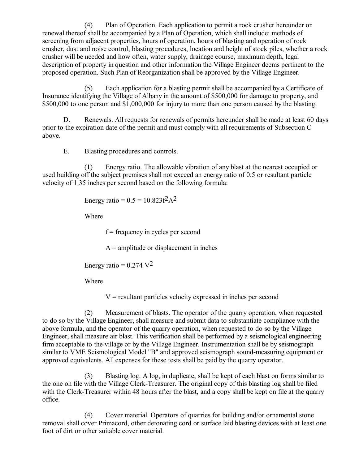(4) Plan of Operation. Each application to permit a rock crusher hereunder or renewal thereof shall be accompanied by a Plan of Operation, which shall include: methods of screening from adjacent properties, hours of operation, hours of blasting and operation of rock crusher, dust and noise control, blasting procedures, location and height of stock piles, whether a rock crusher will be needed and how often, water supply, drainage course, maximum depth, legal description of property in question and other information the Village Engineer deems pertinent to the proposed operation. Such Plan of Reorganization shall be approved by the Village Engineer.

(5) Each application for a blasting permit shall be accompanied by a Certificate of Insurance identifying the Village of Albany in the amount of \$500,000 for damage to property, and \$500,000 to one person and \$1,000,000 for injury to more than one person caused by the blasting.

D. Renewals. All requests for renewals of permits hereunder shall be made at least 60 days prior to the expiration date of the permit and must comply with all requirements of Subsection C above.

E. Blasting procedures and controls.

(1) Energy ratio. The allowable vibration of any blast at the nearest occupied or used building off the subject premises shall not exceed an energy ratio of 0.5 or resultant particle velocity of 1.35 inches per second based on the following formula:

Energy ratio =  $0.5 = 10.823 f^2 A^2$ 

Where

 $f = \text{frequency}$  in cycles per second

 $A =$  amplitude or displacement in inches

Energy ratio =  $0.274$  V<sup>2</sup>

Where

 $V =$  resultant particles velocity expressed in inches per second

(2) Measurement of blasts. The operator of the quarry operation, when requested to do so by the Village Engineer, shall measure and submit data to substantiate compliance with the above formula, and the operator of the quarry operation, when requested to do so by the Village Engineer, shall measure air blast. This verification shall be performed by a seismological engineering firm acceptable to the village or by the Village Engineer. Instrumentation shall be by seismograph similar to VME Seismological Model "B" and approved seismograph sound-measuring equipment or approved equivalents. All expenses for these tests shall be paid by the quarry operator.

(3) Blasting log. A log, in duplicate, shall be kept of each blast on forms similar to the one on file with the Village Clerk-Treasurer. The original copy of this blasting log shall be filed with the Clerk-Treasurer within 48 hours after the blast, and a copy shall be kept on file at the quarry office.

(4) Cover material. Operators of quarries for building and/or ornamental stone removal shall cover Primacord, other detonating cord or surface laid blasting devices with at least one foot of dirt or other suitable cover material.